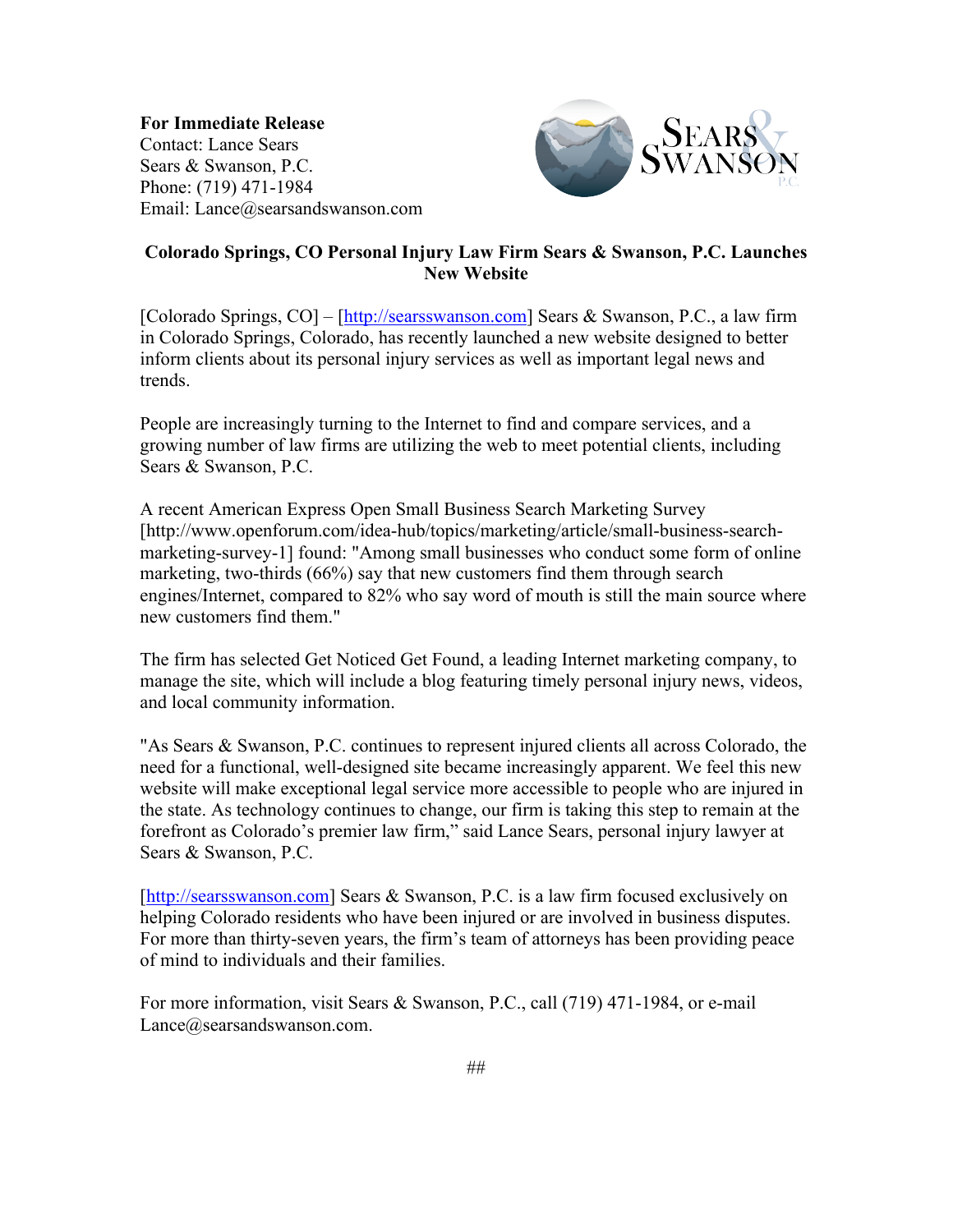**For Immediate Release** Contact: Lance Sears Sears & Swanson, P.C. Phone: (719) 471-1984 Email: Lance@searsandswanson.com



## **Colorado Springs, CO Personal Injury Law Firm Sears & Swanson, P.C. Launches New Website**

[Colorado Springs, CO] – [http://searsswanson.com] Sears & Swanson, P.C., a law firm in Colorado Springs, Colorado, has recently launched a new website designed to better inform clients about its personal injury services as well as important legal news and trends.

People are increasingly turning to the Internet to find and compare services, and a growing number of law firms are utilizing the web to meet potential clients, including Sears & Swanson, P.C.

A recent American Express Open Small Business Search Marketing Survey [http://www.openforum.com/idea-hub/topics/marketing/article/small-business-searchmarketing-survey-1] found: "Among small businesses who conduct some form of online marketing, two-thirds (66%) say that new customers find them through search engines/Internet, compared to 82% who say word of mouth is still the main source where new customers find them."

The firm has selected Get Noticed Get Found, a leading Internet marketing company, to manage the site, which will include a blog featuring timely personal injury news, videos, and local community information.

"As Sears & Swanson, P.C. continues to represent injured clients all across Colorado, the need for a functional, well-designed site became increasingly apparent. We feel this new website will make exceptional legal service more accessible to people who are injured in the state. As technology continues to change, our firm is taking this step to remain at the forefront as Colorado's premier law firm," said Lance Sears, personal injury lawyer at Sears & Swanson, P.C.

[http://searsswanson.com] Sears & Swanson, P.C. is a law firm focused exclusively on helping Colorado residents who have been injured or are involved in business disputes. For more than thirty-seven years, the firm's team of attorneys has been providing peace of mind to individuals and their families.

For more information, visit Sears & Swanson, P.C., call (719) 471-1984, or e-mail Lance@searsandswanson.com.